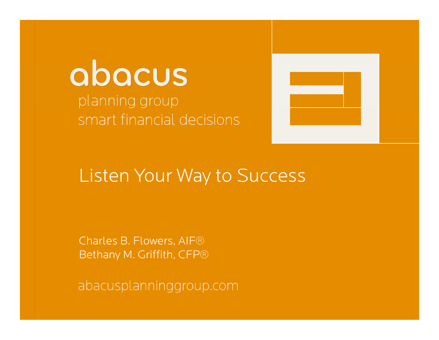## abacus planning group planning group<br>smart financial decisions



# Listen Your Way to Success Listen Your Way to Success

Charles B. Flowers, AIF® CharlesCharles B. Flowers, AIF®<br>Bethany M. Griffith, CFP®

aDacuspianninggroup.com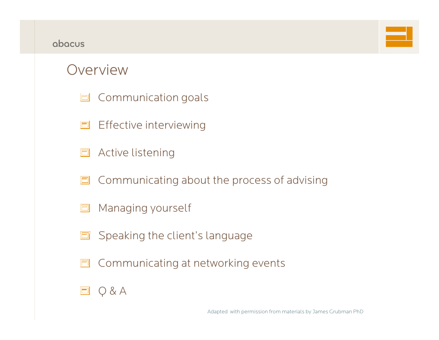#### abacus



#### Overview

- **L** Communication goals
- **E** Effective interviewing
- Active listening  $\Box$
- Communicating about the process of advising  $\Box$
- Managing yourself 曰
- Speaking the client's language  $\blacksquare$
- Communicating at networking events  $\Box$

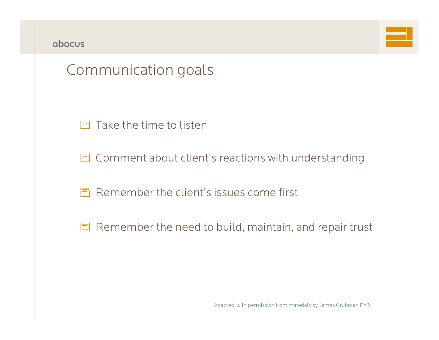|  | abacus |
|--|--------|
|--|--------|



### Communication goals

 $\Box$  Take the time to listen

**O** Comment about client's reactions with understanding

Remember the client's issues come first

 $\Box$  Remember the need to build, maintain, and repair trust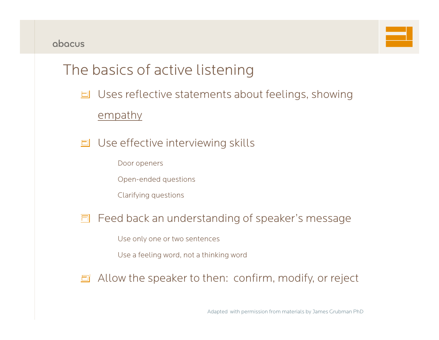## The basics of active listening

Uses reflective statements about feelings, showing

empathy

- Use effective interviewin g skills
	- Door openers
	- Open-ended questions
	- Clarifying questions

#### 同 Feed back an understanding of speaker's message

- Use only one or two sentences
- Use a feeling word, not a thinking word

Allow the speaker to then: confirm, modify, or reject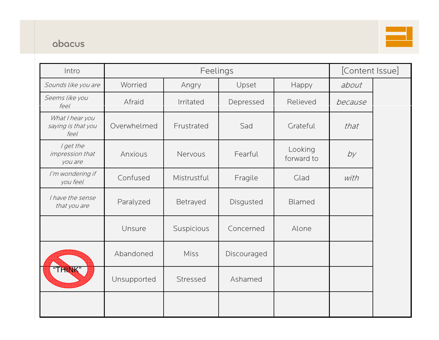#### abacus



| Intro                                         | Feelings    |             |             | [Content Issue]       |         |  |
|-----------------------------------------------|-------------|-------------|-------------|-----------------------|---------|--|
| Sounds like you are                           | Worried     | Angry       | Upset       | Happy                 | about   |  |
| Seems like you<br>feel                        | Afraid      | Irritated   | Depressed   | Relieved              | because |  |
| What I hear you<br>saying is that you<br>feel | Overwhelmed | Frustrated  | Sad         | Grateful              | that    |  |
| I get the<br>impression that<br>you are       | Anxious     | Nervous     | Fearful     | Looking<br>forward to | by      |  |
| I'm wondering if<br>you feel                  | Confused    | Mistrustful | Fragile     | Glad                  | with    |  |
| I have the sense<br>that you are              | Paralyzed   | Betrayed    | Disgusted   | Blamed                |         |  |
|                                               | Unsure      | Suspicious  | Concerned   | Alone                 |         |  |
|                                               | Abandoned   | Miss        | Discouraged |                       |         |  |
| "THINK"                                       | Unsupported | Stressed    | Ashamed     |                       |         |  |
|                                               |             |             |             |                       |         |  |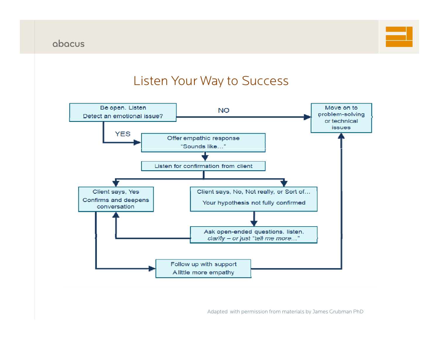

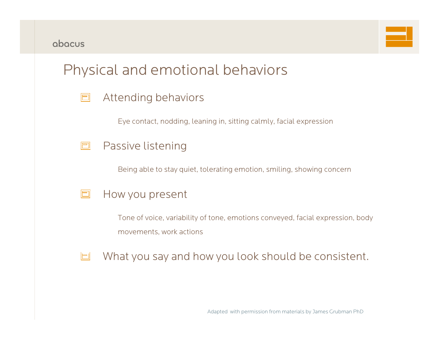

#### Physical and emotional behaviors

| E |  | Attending behaviors |
|---|--|---------------------|
|---|--|---------------------|

Eye contact, nodding, leaning in, sitting calmly, facial expression

Being able to stay quiet, tolerating emotion, smiling, showing concern



Tone of voice, variability of tone, emotions conveyed, facial expression, body movements, work actions

What you say and how you look should be consistent.  $\Box$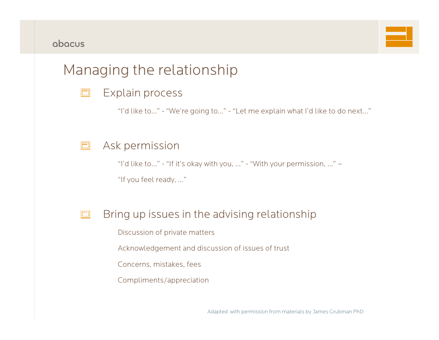### Managing the relationship

| $\Box$<br>Explain process |  |
|---------------------------|--|
|---------------------------|--|

"I'd like to..." - "We're going to…" - "Let me explain what I'd like to do next..."

#### Ask permission  $\boxed{\square}$

"I'd like to..." - "If it's okay with you, ..." - "With your permission, …" – "If you feel ready, …"

#### Bring up issues in the advising relationship  $\Box$

Discussion of private matters

Acknowledgement and discussion of issues of trust

Concerns, mistakes, fees

Compliments/appreciation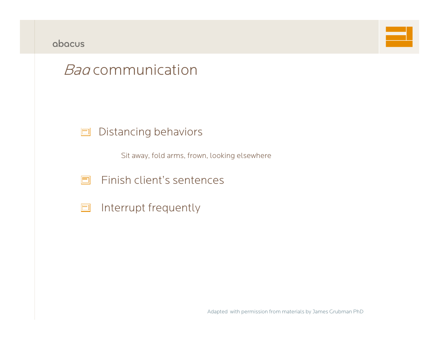



### *Bad* communication

#### Distancing behaviors  $\Box$

Sit away, fold arms, frown, looking elsewhere

- $\Box$ Finish client's sentences
- Interrupt frequently  $\Box$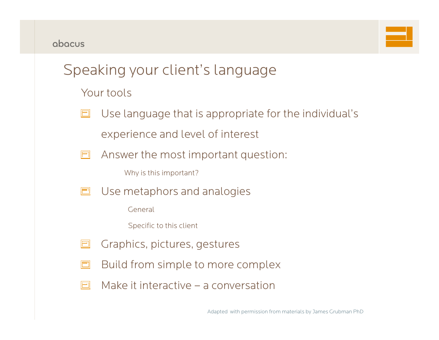## Speaking your client's language

Your tools

Use language that is appropriate for the individual's  $\Box$ experience and level of interest

Answer the most important question:  $\Box$ 

Why is this important?

Use metaphors and analogies  $\Box$ 

General

Specific to this client

- Graphics, pictures, gestures  $\Box$
- Build from simple to more complex  $\Box$
- Make it interactive a conversationE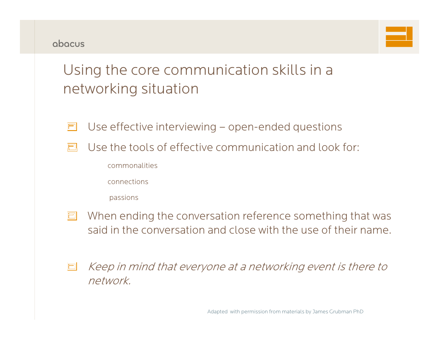

## Using the core communication skills in a networking situation

- Use effective interviewing open-ended questions E
- Use the tools of effective communication and look for:n
	- commonalities
	- connections
	- passions
- When ending the conversation reference something that was  $|\square|$ said in the conversation and close with the use of their name.
- Keep in mind that everyone at a networking event is there to  $\Box$ network.